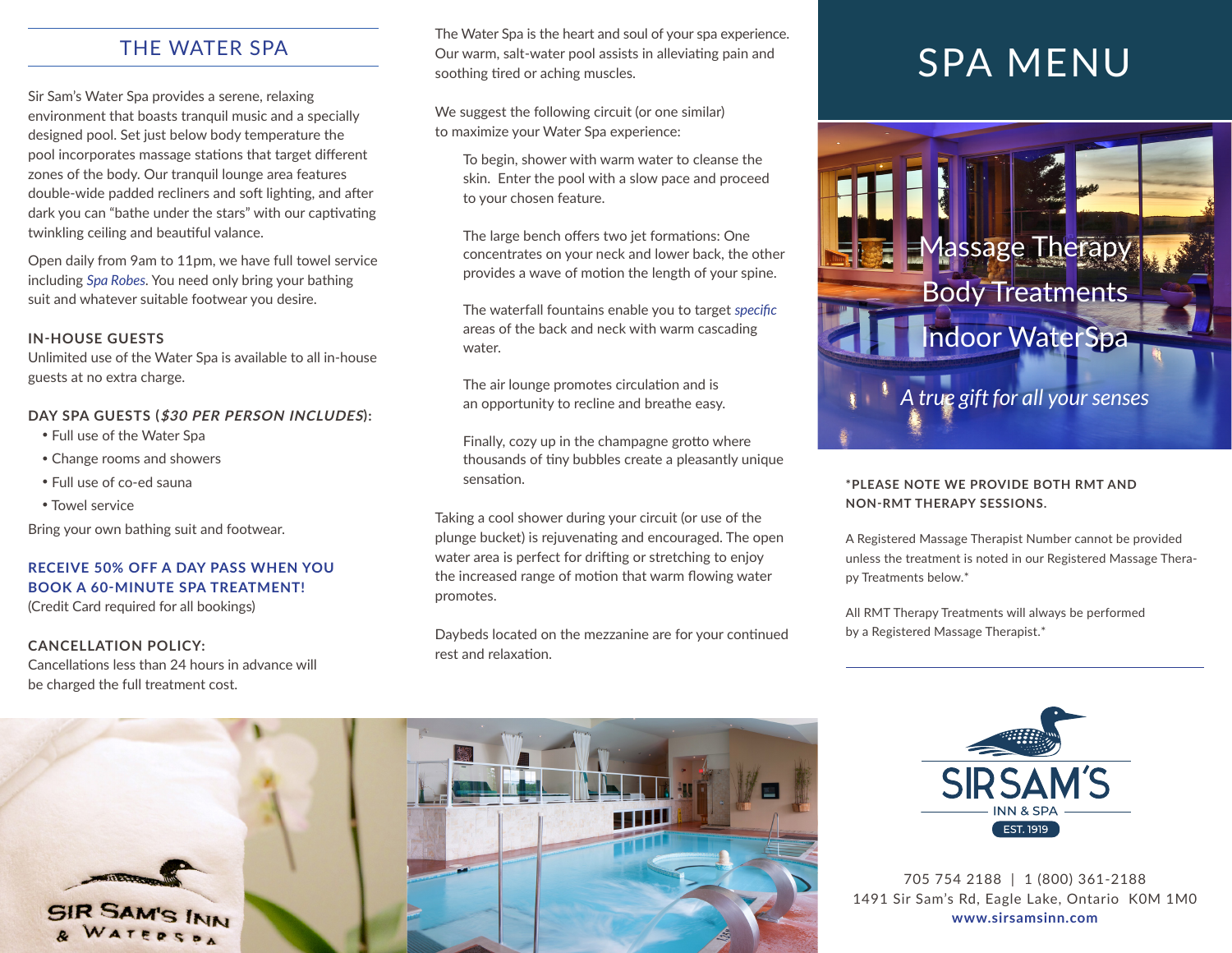# THE WATER SPA

Sir Sam's Water Spa provides a serene, relaxing environment that boasts tranquil music and a specially designed pool. Set just below body temperature the pool incorporates massage stations that target different zones of the body. Our tranquil lounge area features double-wide padded recliners and soft lighting, and after dark you can "bathe under the stars" with our captivating twinkling ceiling and beautiful valance.

Open daily from 9am to 11pm, we have full towel service including *Spa Robes*. You need only bring your bathing suit and whatever suitable footwear you desire.

## **IN-HOUSE GUESTS**

Unlimited use of the Water Spa is available to all in-house guests at no extra charge.

## **DAY SPA GUESTS (\$30 PER PERSON INCLUDES):**

- Full use of the Water Spa
- Change rooms and showers
- Full use of co-ed sauna
- Towel service

Bring your own bathing suit and footwear.

## **RECEIVE 50% OFF A DAY PASS WHEN YOU BOOK A 60-MINUTE SPA TREATMENT!**

(Credit Card required for all bookings)

## **CANCELLATION POLICY:**

Cancellations less than 24 hours in advance will be charged the full treatment cost.

The Water Spa is the heart and soul of your spa experience. Our warm, salt-water pool assists in alleviating pain and soothing tired or aching muscles.

We suggest the following circuit (or one similar) to maximize your Water Spa experience:

To begin, shower with warm water to cleanse the skin. Enter the pool with a slow pace and proceed to your chosen feature.

The large bench offers two jet formations: One concentrates on your neck and lower back, the other provides a wave of motion the length of your spine.

The waterfall fountains enable you to target *specific* areas of the back and neck with warm cascading water.

The air lounge promotes circulation and is an opportunity to recline and breathe easy.

Finally, cozy up in the champagne grotto where thousands of tiny bubbles create a pleasantly unique sensation.

Taking a cool shower during your circuit (or use of the plunge bucket) is rejuvenating and encouraged. The open water area is perfect for drifting or stretching to enjoy the increased range of motion that warm flowing water promotes.

Daybeds located on the mezzanine are for your continued rest and relaxation.





## **\*PLEASE NOTE WE PROVIDE BOTH RMT AND NON-RMT THERAPY SESSIONS.**

A Registered Massage Therapist Number cannot be provided unless the treatment is noted in our Registered Massage Therapy Treatments below.\*

All RMT Therapy Treatments will always be performed by a Registered Massage Therapist.\*



705 754 2188 | 1 (800) 361-2188 1491 Sir Sam's Rd, Eagle Lake, Ontario K0M 1M0 **www.sirsamsinn.com**